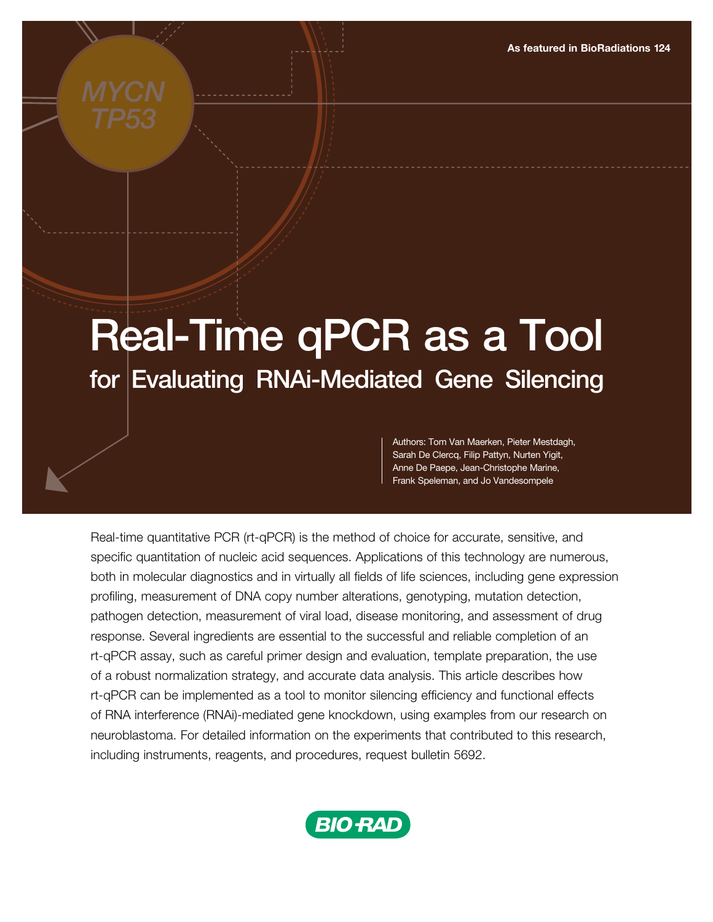# Real-Time qPCR as a Tool for Evaluating RNAi-Mediated Gene Silencing

Authors: Tom Van Maerken, Pieter Mestdagh, Sarah De Clercq, Filip Pattyn, Nurten Yigit, Anne De Paepe, Jean-Christophe Marine, Frank Speleman, and Jo Vandesompele

Real-time quantitative PCR (rt-qPCR) is the method of choice for accurate, sensitive, and specific quantitation of nucleic acid sequences. Applications of this technology are numerous, both in molecular diagnostics and in virtually all fields of life sciences, including gene expression profiling, measurement of DNA copy number alterations, genotyping, mutation detection, pathogen detection, measurement of viral load, disease monitoring, and assessment of drug response. Several ingredients are essential to the successful and reliable completion of an rt-qPCR assay, such as careful primer design and evaluation, template preparation, the use of a robust normalization strategy, and accurate data analysis. This article describes how rt-qPCR can be implemented as a tool to monitor silencing efficiency and functional effects of RNA interference (RNAi)-mediated gene knockdown, using examples from our research on neuroblastoma. For detailed information on the experiments that contributed to this research, including instruments, reagents, and procedures, request bulletin 5692.

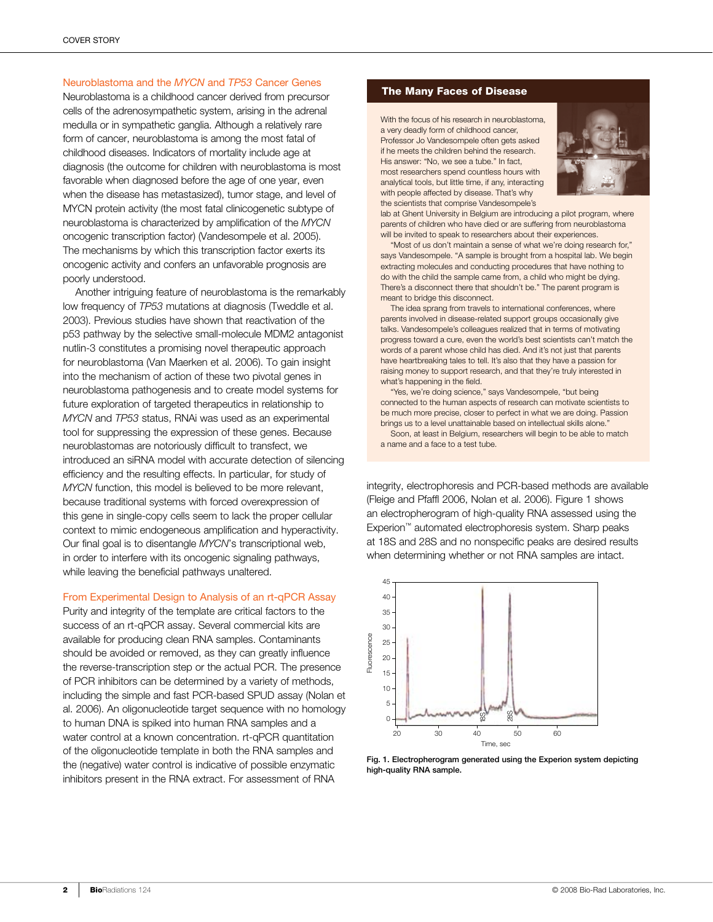# Neuroblastoma and the *MYCN* and *TP53* Cancer Genes

Neuroblastoma is a childhood cancer derived from precursor cells of the adrenosympathetic system, arising in the adrenal medulla or in sympathetic ganglia. Although a relatively rare form of cancer, neuroblastoma is among the most fatal of childhood diseases. Indicators of mortality include age at diagnosis (the outcome for children with neuroblastoma is most favorable when diagnosed before the age of one year, even when the disease has metastasized), tumor stage, and level of MYCN protein activity (the most fatal clinicogenetic subtype of neuroblastoma is characterized by amplification of the *MYCN* oncogenic transcription factor) (Vandesompele et al. 2005). The mechanisms by which this transcription factor exerts its oncogenic activity and confers an unfavorable prognosis are poorly understood.

Another intriguing feature of neuroblastoma is the remarkably low frequency of *TP53* mutations at diagnosis (Tweddle et al. 2003). Previous studies have shown that reactivation of the p53 pathway by the selective small-molecule MDM2 antagonist nutlin-3 constitutes a promising novel therapeutic approach for neuroblastoma (Van Maerken et al. 2006). To gain insight into the mechanism of action of these two pivotal genes in neuroblastoma pathogenesis and to create model systems for future exploration of targeted therapeutics in relationship to *MYCN* and *TP53* status, RNAi was used as an experimental tool for suppressing the expression of these genes. Because neuroblastomas are notoriously difficult to transfect, we introduced an siRNA model with accurate detection of silencing efficiency and the resulting effects. In particular, for study of *MYCN* function, this model is believed to be more relevant, because traditional systems with forced overexpression of this gene in single-copy cells seem to lack the proper cellular context to mimic endogeneous amplification and hyperactivity. Our final goal is to disentangle *MYCN*'s transcriptional web, in order to interfere with its oncogenic signaling pathways, while leaving the beneficial pathways unaltered.

## From Experimental Design to Analysis of an rt-qPCR Assay

Purity and integrity of the template are critical factors to the success of an rt-qPCR assay. Several commercial kits are available for producing clean RNA samples. Contaminants should be avoided or removed, as they can greatly influence the reverse-transcription step or the actual PCR. The presence of PCR inhibitors can be determined by a variety of methods, including the simple and fast PCR-based SPUD assay (Nolan et al. 2006). An oligonucleotide target sequence with no homology to human DNA is spiked into human RNA samples and a water control at a known concentration. rt-qPCR quantitation of the oligonucleotide template in both the RNA samples and the (negative) water control is indicative of possible enzymatic inhibitors present in the RNA extract. For assessment of RNA

# The Many Faces of Disease

With the focus of his research in neuroblastoma, a very deadly form of childhood cancer, Professor Jo Vandesompele often gets asked if he meets the children behind the research. His answer: "No, we see a tube." In fact, most researchers spend countless hours with analytical tools, but little time, if any, interacting with people affected by disease. That's why the scientists that comprise Vandesompele's



lab at Ghent University in Belgium are introducing a pilot program, where parents of children who have died or are suffering from neuroblastoma will be invited to speak to researchers about their experiences.

"Most of us don't maintain a sense of what we're doing research for," says Vandesompele. "A sample is brought from a hospital lab. We begin extracting molecules and conducting procedures that have nothing to do with the child the sample came from, a child who might be dying. There's a disconnect there that shouldn't be." The parent program is meant to bridge this disconnect.

The idea sprang from travels to international conferences, where parents involved in disease-related support groups occasionally give talks. Vandesompele's colleagues realized that in terms of motivating progress toward a cure, even the world's best scientists can't match the words of a parent whose child has died. And it's not just that parents have heartbreaking tales to tell. It's also that they have a passion for raising money to support research, and that they're truly interested in what's happening in the field.

"Yes, we're doing science," says Vandesompele, "but being connected to the human aspects of research can motivate scientists to be much more precise, closer to perfect in what we are doing. Passion brings us to a level unattainable based on intellectual skills alone."

Soon, at least in Belgium, researchers will begin to be able to match a name and a face to a test tube.

integrity, electrophoresis and PCR-based methods are available (Fleige and Pfaffl 2006, Nolan et al. 2006). Figure 1 shows an electropherogram of high-quality RNA assessed using the Experion™ automated electrophoresis system. Sharp peaks at 18S and 28S and no nonspecific peaks are desired results when determining whether or not RNA samples are intact.



Fig. 1. Electropherogram generated using the Experion system depicting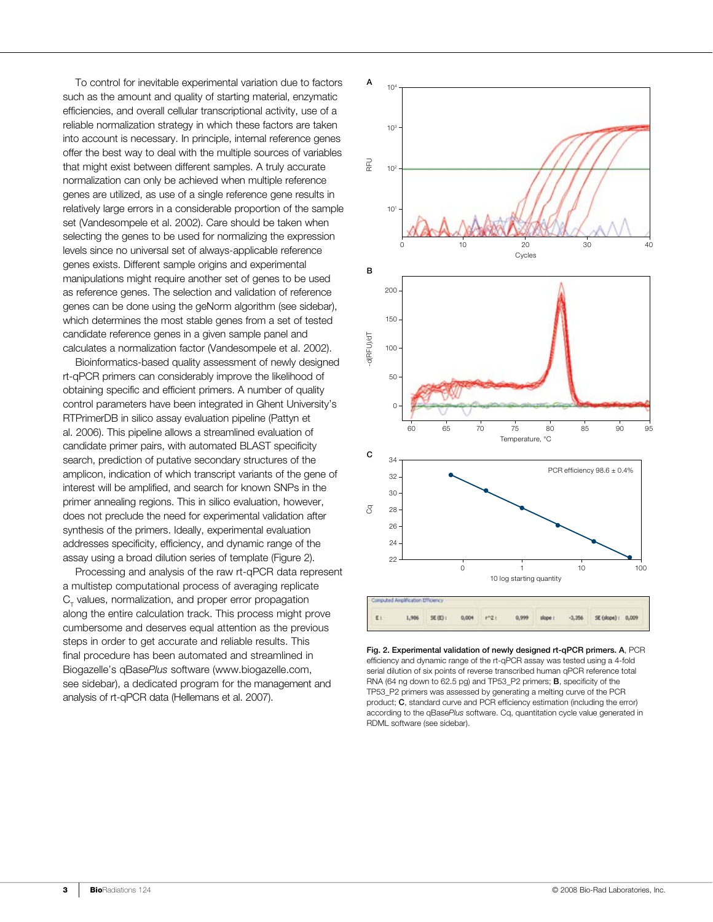To control for inevitable experimental variation due to factors such as the amount and quality of starting material, enzymatic efficiencies, and overall cellular transcriptional activity, use of a reliable normalization strategy in which these factors are taken into account is necessary. In principle, internal reference genes offer the best way to deal with the multiple sources of variables that might exist between different samples. A truly accurate normalization can only be achieved when multiple reference genes are utilized, as use of a single reference gene results in relatively large errors in a considerable proportion of the sample set (Vandesompele et al. 2002). Care should be taken when selecting the genes to be used for normalizing the expression levels since no universal set of always-applicable reference genes exists. Different sample origins and experimental manipulations might require another set of genes to be used as reference genes. The selection and validation of reference genes can be done using the geNorm algorithm (see sidebar), which determines the most stable genes from a set of tested candidate reference genes in a given sample panel and calculates a normalization factor (Vandesompele et al. 2002).

Bioinformatics-based quality assessment of newly designed rt-qPCR primers can considerably improve the likelihood of obtaining specific and efficient primers. A number of quality control parameters have been integrated in Ghent University's RTPrimerDB in silico assay evaluation pipeline (Pattyn et al. 2006). This pipeline allows a streamlined evaluation of candidate primer pairs, with automated BLAST specificity search, prediction of putative secondary structures of the amplicon, indication of which transcript variants of the gene of interest will be amplified, and search for known SNPs in the primer annealing regions. This in silico evaluation, however, does not preclude the need for experimental validation after synthesis of the primers. Ideally, experimental evaluation addresses specificity, efficiency, and dynamic range of the assay using a broad dilution series of template (Figure 2).

Processing and analysis of the raw rt-qPCR data represent a multistep computational process of averaging replicate  $\mathrm{C}_\mathrm{r}$  values, normalization, and proper error propagation along the entire calculation track. This process might prove cumbersome and deserves equal attention as the previous steps in order to get accurate and reliable results. This final procedure has been automated and streamlined in Biogazelle's qBase*Plus* software (www.biogazelle.com, see sidebar), a dedicated program for the management and analysis of rt-qPCR data (Hellemans et al. 2007).



Fig. 2. Experimental validation of newly designed rt-qPCR primers. A, PCR efficiency and dynamic range of the rt-qPCR assay was tested using a 4-fold serial dilution of six points of reverse transcribed human qPCR reference total RNA (64 ng down to 62.5 pg) and TP53\_P2 primers; B, specificity of the TP53\_P2 primers was assessed by generating a melting curve of the PCR product; C, standard curve and PCR efficiency estimation (including the error) according to the qBase*Plus* software. Cq, quantitation cycle value generated in RDML software (see sidebar).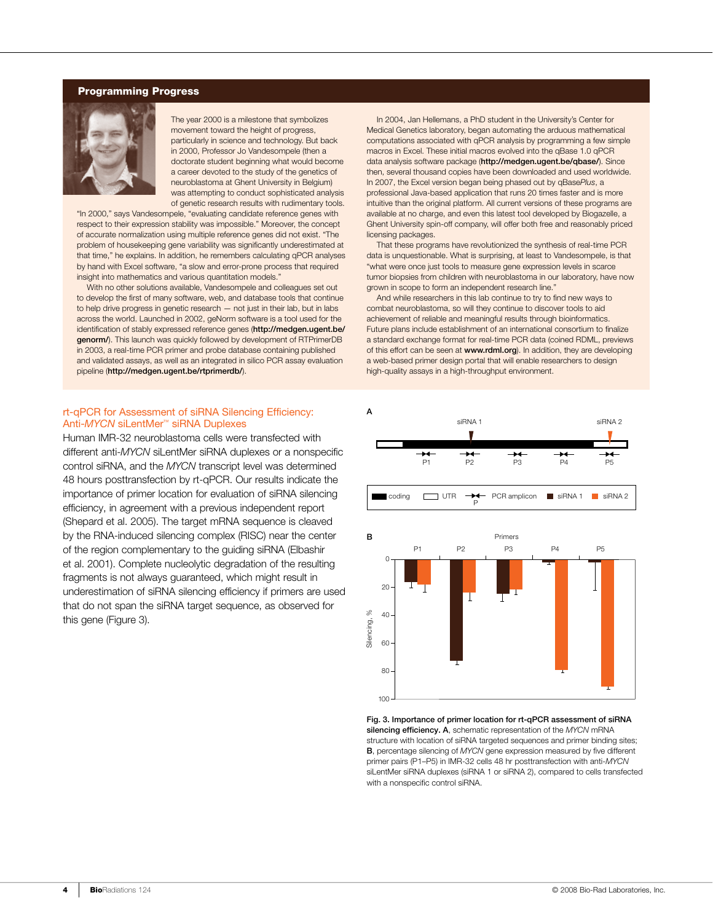# Programming Progress



The year 2000 is a milestone that symbolizes movement toward the height of progress, particularly in science and technology. But back in 2000, Professor Jo Vandesompele (then a doctorate student beginning what would become a career devoted to the study of the genetics of neuroblastoma at Ghent University in Belgium) was attempting to conduct sophisticated analysis of genetic research results with rudimentary tools.

"In 2000," says Vandesompele, "evaluating candidate reference genes with respect to their expression stability was impossible." Moreover, the concept of accurate normalization using multiple reference genes did not exist. "The problem of housekeeping gene variability was significantly underestimated at that time," he explains. In addition, he remembers calculating qPCR analyses by hand with Excel software, "a slow and error-prone process that required insight into mathematics and various quantitation models."

With no other solutions available, Vandesompele and colleagues set out to develop the first of many software, web, and database tools that continue to help drive progress in genetic research — not just in their lab, but in labs across the world. Launched in 2002, geNorm software is a tool used for the identification of stably expressed reference genes (http://medgen.ugent.be/ genorm/). This launch was quickly followed by development of RTPrimerDB in 2003, a real-time PCR primer and probe database containing published and validated assays, as well as an integrated in silico PCR assay evaluation pipeline (http://medgen.ugent.be/rtprimerdb/).

In 2004, Jan Hellemans, a PhD student in the University's Center for Medical Genetics laboratory, began automating the arduous mathematical computations associated with qPCR analysis by programming a few simple macros in Excel. These initial macros evolved into the qBase 1.0 qPCR data analysis software package (http://medgen.ugent.be/qbase/). Since then, several thousand copies have been downloaded and used worldwide. In 2007, the Excel version began being phased out by qBase*Plus*, a professional Java-based application that runs 20 times faster and is more intuitive than the original platform. All current versions of these programs are available at no charge, and even this latest tool developed by Biogazelle, a Ghent University spin-off company, will offer both free and reasonably priced licensing packages.

That these programs have revolutionized the synthesis of real-time PCR data is unquestionable. What is surprising, at least to Vandesompele, is that "what were once just tools to measure gene expression levels in scarce tumor biopsies from children with neuroblastoma in our laboratory, have now grown in scope to form an independent research line."

And while researchers in this lab continue to try to find new ways to combat neuroblastoma, so will they continue to discover tools to aid achievement of reliable and meaningful results through bioinformatics. Future plans include establishment of an international consortium to finalize a standard exchange format for real-time PCR data (coined RDML, previews of this effort can be seen at www.rdml.org). In addition, they are developing a web-based primer design portal that will enable researchers to design high-quality assays in a high-throughput environment.

#### rt-qPCR for Assessment of siRNA Silencing Efficiency: Anti-*MYCN* siLentMer™ siRNA Duplexes

Human IMR-32 neuroblastoma cells were transfected with different anti-*MYCN* siLentMer siRNA duplexes or a nonspecific control siRNA, and the *MYCN* transcript level was determined 48 hours posttransfection by rt-qPCR. Our results indicate the importance of primer location for evaluation of siRNA silencing efficiency, in agreement with a previous independent report (Shepard et al. 2005). The target mRNA sequence is cleaved by the RNA-induced silencing complex (RISC) near the center of the region complementary to the guiding siRNA (Elbashir et al. 2001). Complete nucleolytic degradation of the resulting fragments is not always guaranteed, which might result in underestimation of siRNA silencing efficiency if primers are used that do not span the siRNA target sequence, as observed for this gene (Figure 3).





Fig. 3. Importance of primer location for rt-qPCR assessment of siRNA silencing efficiency. A, schematic representation of the *MYCN* mRNA structure with location of siRNA targeted sequences and primer binding sites; B, percentage silencing of *MYCN* gene expression measured by five different primer pairs (P1–P5) in IMR-32 cells 48 hr posttransfection with anti-*MYCN* siLentMer siRNA duplexes (siRNA 1 or siRNA 2), compared to cells transfected with a nonspecific control siRNA.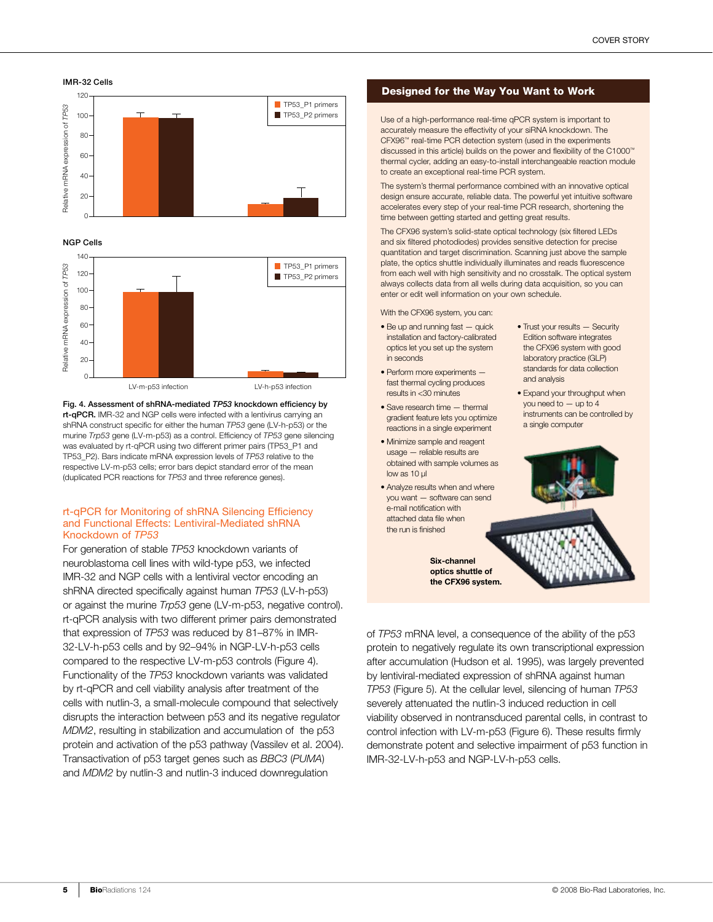



NGP Cells



Fig. 4. Assessment of shRNA-mediated *TP53* knockdown efficiency by rt-qPCR. IMR-32 and NGP cells were infected with a lentivirus carrying an shRNA construct specific for either the human *TP53* gene (LV-h-p53) or the murine *Trp53* gene (LV-m-p53) as a control. Efficiency of *TP53* gene silencing was evaluated by rt-qPCR using two different primer pairs (TP53\_P1 and TP53\_P2). Bars indicate mRNA expression levels of *TP53* relative to the respective LV-m-p53 cells; error bars depict standard error of the mean (duplicated PCR reactions for *TP53* and three reference genes).

### rt-qPCR for Monitoring of shRNA Silencing Efficiency and Functional Effects: Lentiviral-Mediated shRNA Knockdown of *TP53*

For generation of stable *TP53* knockdown variants of neuroblastoma cell lines with wild-type p53, we infected IMR-32 and NGP cells with a lentiviral vector encoding an shRNA directed specifically against human *TP53* (LV-h-p53) or against the murine *Trp53* gene (LV-m-p53, negative control). rt-qPCR analysis with two different primer pairs demonstrated that expression of *TP53* was reduced by 81–87% in IMR-32-LV-h-p53 cells and by 92–94% in NGP-LV-h-p53 cells compared to the respective LV-m-p53 controls (Figure 4). Functionality of the *TP53* knockdown variants was validated by rt-qPCR and cell viability analysis after treatment of the cells with nutlin-3, a small-molecule compound that selectively disrupts the interaction between p53 and its negative regulator *MDM2*, resulting in stabilization and accumulation of the p53 protein and activation of the p53 pathway (Vassilev et al. 2004). Transactivation of p53 target genes such as *BBC3* (*PUMA*) and *MDM2* by nutlin-3 and nutlin-3 induced downregulation

# Designed for the Way You Want to Work

Use of a high-performance real-time qPCR system is important to accurately measure the effectivity of your siRNA knockdown. The CFX96™ real-time PCR detection system (used in the experiments discussed in this article) builds on the power and flexibility of the C1000™ thermal cycler, adding an easy-to-install interchangeable reaction module to create an exceptional real-time PCR system.

The system's thermal performance combined with an innovative optical design ensure accurate, reliable data. The powerful yet intuitive software accelerates every step of your real-time PCR research, shortening the time between getting started and getting great results.

The CFX96 system's solid-state optical technology (six filtered LEDs and six filtered photodiodes) provides sensitive detection for precise quantitation and target discrimination. Scanning just above the sample plate, the optics shuttle individually illuminates and reads fluorescence from each well with high sensitivity and no crosstalk. The optical system always collects data from all wells during data acquisition, so you can enter or edit well information on your own schedule.

With the CFX96 system, you can:

- Be up and running fast quick installation and factory-calibrated optics let you set up the system in seconds
- Perform more experiments fast thermal cycling produces results in <30 minutes
- Save research time thermal gradient feature lets you optimize reactions in a single experiment
- Minimize sample and reagent usage — reliable results are obtained with sample volumes as low as 10 µl
- Analyze results when and where you want — software can send e-mail notification with attached data file when the run is finished

Six-channel optics shuttle of the CFX96 system.

- Trust your results Security Edition software integrates the CFX96 system with good laboratory practice (GLP) standards for data collection and analysis
- Expand your throughput when you need to — up to 4 instruments can be controlled by a single computer



of *TP53* mRNA level, a consequence of the ability of the p53 protein to negatively regulate its own transcriptional expression after accumulation (Hudson et al. 1995), was largely prevented by lentiviral-mediated expression of shRNA against human *TP53* (Figure 5). At the cellular level, silencing of human *TP53* severely attenuated the nutlin-3 induced reduction in cell viability observed in nontransduced parental cells, in contrast to control infection with LV-m-p53 (Figure 6). These results firmly demonstrate potent and selective impairment of p53 function in IMR-32-LV-h-p53 and NGP-LV-h-p53 cells.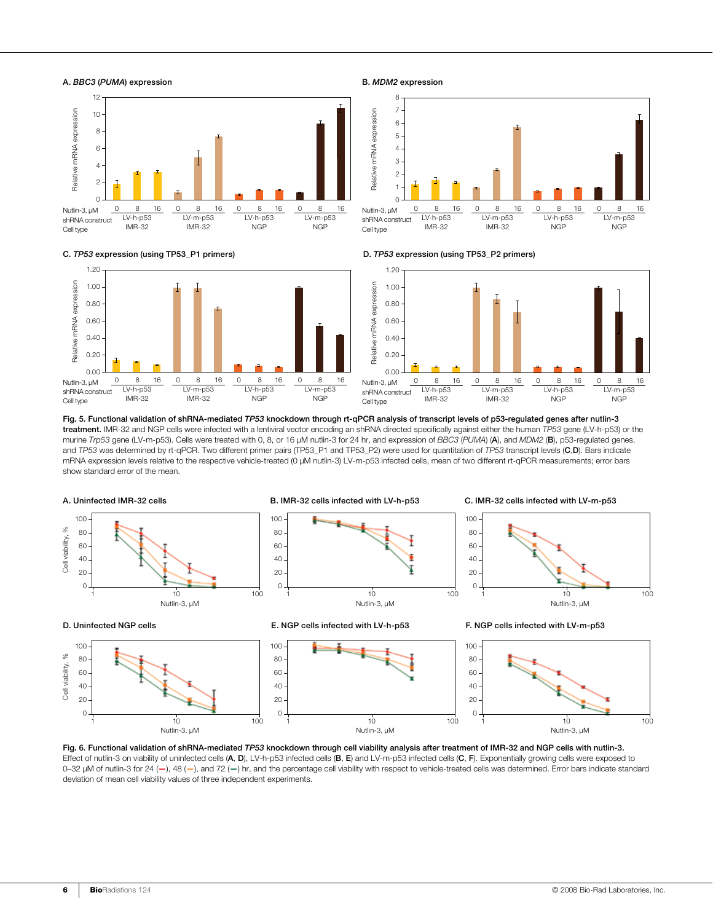





B. *MDM2* expression







Fig. 5. Functional validation of shRNA-mediated *TP53* knockdown through rt-qPCR analysis of transcript levels of p53-regulated genes after nutlin-3 treatment. IMR-32 and NGP cells were infected with a lentiviral vector encoding an shRNA directed specifically against either the human *TP53* gene (LV-h-p53) or the murine *Trp53* gene (LV-m-p53). Cells were treated with 0, 8, or 16 µM nutlin-3 for 24 hr, and expression of *BBC3* (*PUMA*) (A), and *MDM2* (B), p53-regulated genes, and *TP53* was determined by rt-qPCR. Two different primer pairs (TP53\_P1 and TP53\_P2) were used for quantitation of *TP53* transcript levels (C,D). Bars indicate mRNA expression levels relative to the respective vehicle-treated (0 µM nutlin-3) LV-m-p53 infected cells, mean of two different rt-qPCR measurements; error bars show standard error of the mean.



Fig. 6. Functional validation of shRNA-mediated *TP53* knockdown through cell viability analysis after treatment of IMR-32 and NGP cells with nutlin-3. Effect of nutlin-3 on viability of uninfected cells (A, D), LV-h-p53 infected cells (B, E) and LV-m-p53 infected cells (C, F). Exponentially growing cells were exposed to 0-32 µM of nutlin-3 for 24 (-), 48 (-), and 72 (-) hr, and the percentage cell viability with respect to vehicle-treated cells was determined. Error bars indicate standard deviation of mean cell viability values of three independent experiments.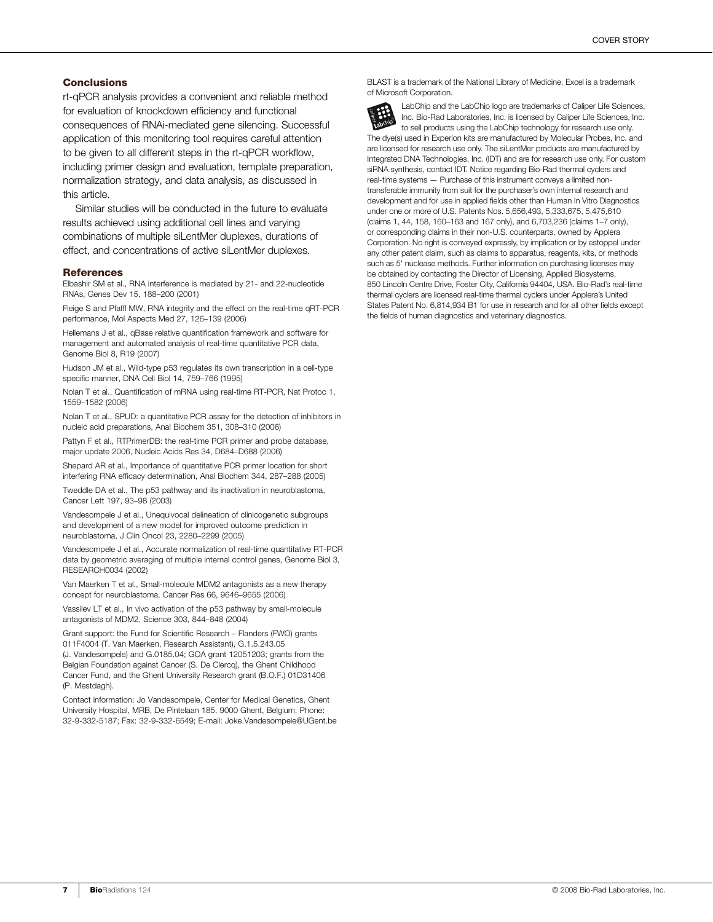# **Conclusions**

rt-qPCR analysis provides a convenient and reliable method for evaluation of knockdown efficiency and functional consequences of RNAi-mediated gene silencing. Successful application of this monitoring tool requires careful attention to be given to all different steps in the rt-qPCR workflow, including primer design and evaluation, template preparation, normalization strategy, and data analysis, as discussed in this article.

Similar studies will be conducted in the future to evaluate results achieved using additional cell lines and varying combinations of multiple siLentMer duplexes, durations of effect, and concentrations of active siLentMer duplexes.

#### References

Elbashir SM et al., RNA interference is mediated by 21- and 22-nucleotide RNAs, Genes Dev 15, 188–200 (2001)

Fleige S and Pfaffl MW, RNA integrity and the effect on the real-time qRT-PCR performance, Mol Aspects Med 27, 126–139 (2006)

Hellemans J et al., qBase relative quantification framework and software for management and automated analysis of real-time quantitative PCR data, Genome Biol 8, R19 (2007)

Hudson JM et al., Wild-type p53 regulates its own transcription in a cell-type specific manner, DNA Cell Biol 14, 759–766 (1995)

Nolan T et al., Quantification of mRNA using real-time RT-PCR, Nat Protoc 1, 1559–1582 (2006)

Nolan T et al., SPUD: a quantitative PCR assay for the detection of inhibitors in nucleic acid preparations, Anal Biochem 351, 308–310 (2006)

Pattyn F et al., RTPrimerDB: the real-time PCR primer and probe database, major update 2006, Nucleic Acids Res 34, D684–D688 (2006)

Shepard AR et al., Importance of quantitative PCR primer location for short interfering RNA efficacy determination, Anal Biochem 344, 287–288 (2005)

Tweddle DA et al., The p53 pathway and its inactivation in neuroblastoma, Cancer Lett 197, 93–98 (2003)

Vandesompele J et al., Unequivocal delineation of clinicogenetic subgroups and development of a new model for improved outcome prediction in neuroblastoma, J Clin Oncol 23, 2280–2299 (2005)

Vandesompele J et al., Accurate normalization of real-time quantitative RT-PCR data by geometric averaging of multiple internal control genes, Genome Biol 3, RESEARCH0034 (2002)

Van Maerken T et al., Small-molecule MDM2 antagonists as a new therapy concept for neuroblastoma, Cancer Res 66, 9646–9655 (2006)

Vassilev LT et al., In vivo activation of the p53 pathway by small-molecule antagonists of MDM2, Science 303, 844–848 (2004)

Grant support: the Fund for Scientific Research – Flanders (FWO) grants 011F4004 (T. Van Maerken, Research Assistant), G.1.5.243.05 (J. Vandesompele) and G.0185.04; GOA grant 12051203; grants from the Belgian Foundation against Cancer (S. De Clercq), the Ghent Childhood Cancer Fund, and the Ghent University Research grant (B.O.F.) 01D31406 (P. Mestdagh).

Contact information: Jo Vandesompele, Center for Medical Genetics, Ghent University Hospital, MRB, De Pintelaan 185, 9000 Ghent, Belgium. Phone: 32-9-332-5187; Fax: 32-9-332-6549; E-mail: Joke.Vandesompele@UGent.be BLAST is a trademark of the National Library of Medicine. Excel is a trademark of Microsoft Corporation.

LabChip and the LabChip logo are trademarks of Caliper Life Sciences, Inc. Bio-Rad Laboratories, Inc. is licensed by Caliper Life Sciences, Inc. to sell products using the LabChip technology for research use only. The dye(s) used in Experion kits are manufactured by Molecular Probes, Inc. and are licensed for research use only. The siLentMer products are manufactured by Integrated DNA Technologies, Inc. (IDT) and are for research use only. For custom siRNA synthesis, contact IDT. Notice regarding Bio-Rad thermal cyclers and real-time systems — Purchase of this instrument conveys a limited nontransferable immunity from suit for the purchaser's own internal research and development and for use in applied fields other than Human In Vitro Diagnostics under one or more of U.S. Patents Nos. 5,656,493, 5,333,675, 5,475,610 (claims 1, 44, 158, 160–163 and 167 only), and 6,703,236 (claims 1–7 only), or corresponding claims in their non-U.S. counterparts, owned by Applera Corporation. No right is conveyed expressly, by implication or by estoppel under any other patent claim, such as claims to apparatus, reagents, kits, or methods such as 5' nuclease methods. Further information on purchasing licenses may be obtained by contacting the Director of Licensing, Applied Biosystems, 850 Lincoln Centre Drive, Foster City, California 94404, USA. Bio-Rad's real-time thermal cyclers are licensed real-time thermal cyclers under Applera's United States Patent No. 6,814,934 B1 for use in research and for all other fields except the fields of human diagnostics and veterinary diagnostics.